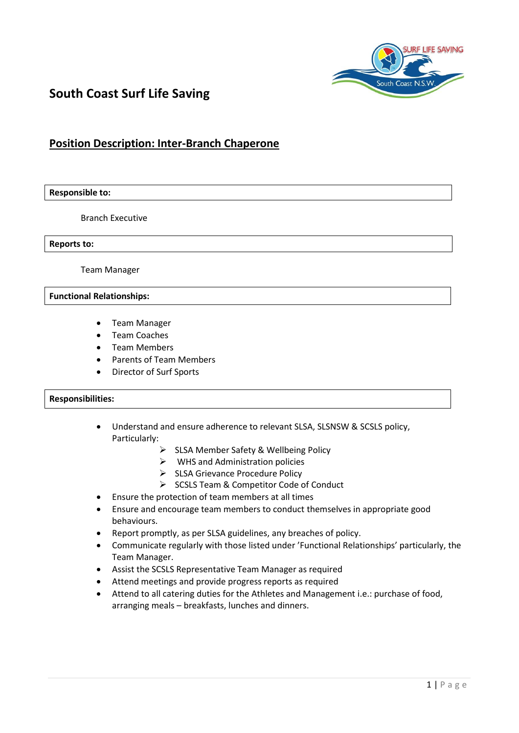

# **South Coast Surf Life Saving**

## **Position Description: Inter-Branch Chaperone**

#### **Responsible to:**

Branch Executive

**Reports to:**

Team Manager

#### **Functional Relationships:**

- Team Manager
- Team Coaches
- Team Members
- Parents of Team Members
- Director of Surf Sports

### **Responsibilities:**

- Understand and ensure adherence to relevant SLSA, SLSNSW & SCSLS policy, Particularly:
	- > SLSA Member Safety & Wellbeing Policy
	- $\triangleright$  WHS and Administration policies
	- $\triangleright$  SLSA Grievance Procedure Policy
	- $\triangleright$  SCSLS Team & Competitor Code of Conduct
- Ensure the protection of team members at all times
- Ensure and encourage team members to conduct themselves in appropriate good behaviours.
- Report promptly, as per SLSA guidelines, any breaches of policy.
- Communicate regularly with those listed under 'Functional Relationships' particularly, the Team Manager.
- Assist the SCSLS Representative Team Manager as required
- Attend meetings and provide progress reports as required
- Attend to all catering duties for the Athletes and Management i.e.: purchase of food, arranging meals – breakfasts, lunches and dinners.